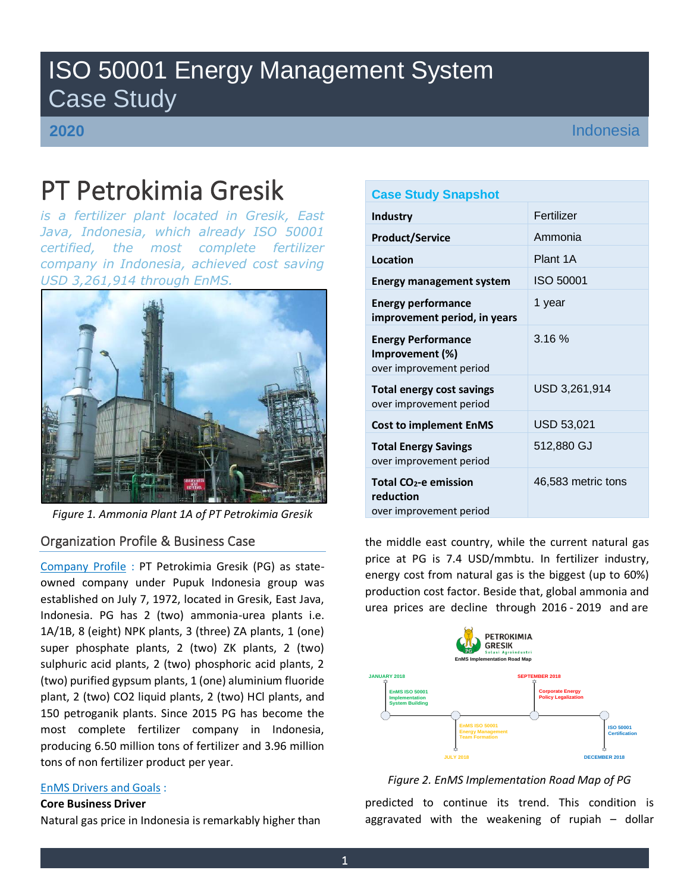## ISO 50001 Energy Management System Case Study

**2020**

Indonesia

# PT Petrokimia Gresik

*is a fertilizer plant located in Gresik, East Java, Indonesia, which already ISO 50001 certified, the most complete fertilizer company in Indonesia, achieved cost saving USD 3,261,914 through EnMS.*



*Figure 1. Ammonia Plant 1A of PT Petrokimia Gresik*

### Organization Profile & Business Case

Company Profile : PT Petrokimia Gresik (PG) as stateowned company under Pupuk Indonesia group was established on July 7, 1972, located in Gresik, East Java, Indonesia. PG has 2 (two) ammonia-urea plants i.e. 1A/1B, 8 (eight) NPK plants, 3 (three) ZA plants, 1 (one) super phosphate plants, 2 (two) ZK plants, 2 (two) sulphuric acid plants, 2 (two) phosphoric acid plants, 2 (two) purified gypsum plants, 1 (one) aluminium fluoride plant, 2 (two) CO2 liquid plants, 2 (two) HCl plants, and 150 petroganik plants. Since 2015 PG has become the most complete fertilizer company in Indonesia, producing 6.50 million tons of fertilizer and 3.96 million tons of non fertilizer product per year.

#### EnMS Drivers and Goals :

#### **Core Business Driver**

Natural gas price in Indonesia is remarkably higher than

#### **Case Study Snapshot**

| <b>Industry</b>                                                         | Fertilizer         |
|-------------------------------------------------------------------------|--------------------|
| <b>Product/Service</b>                                                  | Ammonia            |
| Location                                                                | Plant 1A           |
| <b>Energy management system</b>                                         | ISO 50001          |
| <b>Energy performance</b><br>improvement period, in years               | 1 year             |
| <b>Energy Performance</b><br>Improvement (%)<br>over improvement period | 3.16%              |
| <b>Total energy cost savings</b><br>over improvement period             | USD 3,261,914      |
| <b>Cost to implement EnMS</b>                                           | <b>USD 53,021</b>  |
| <b>Total Energy Savings</b><br>over improvement period                  | 512,880 GJ         |
| Total $CO2$ -e emission<br>reduction<br>over improvement period         | 46,583 metric tons |

the middle east country, while the current natural gas price at PG is 7.4 USD/mmbtu. In fertilizer industry, energy cost from natural gas is the biggest (up to 60%) production cost factor. Beside that, global ammonia and urea prices are decline through 2016 - 2019 and are



*Figure 2. EnMS Implementation Road Map of PG*

predicted to continue its trend. This condition is aggravated with the weakening of rupiah – dollar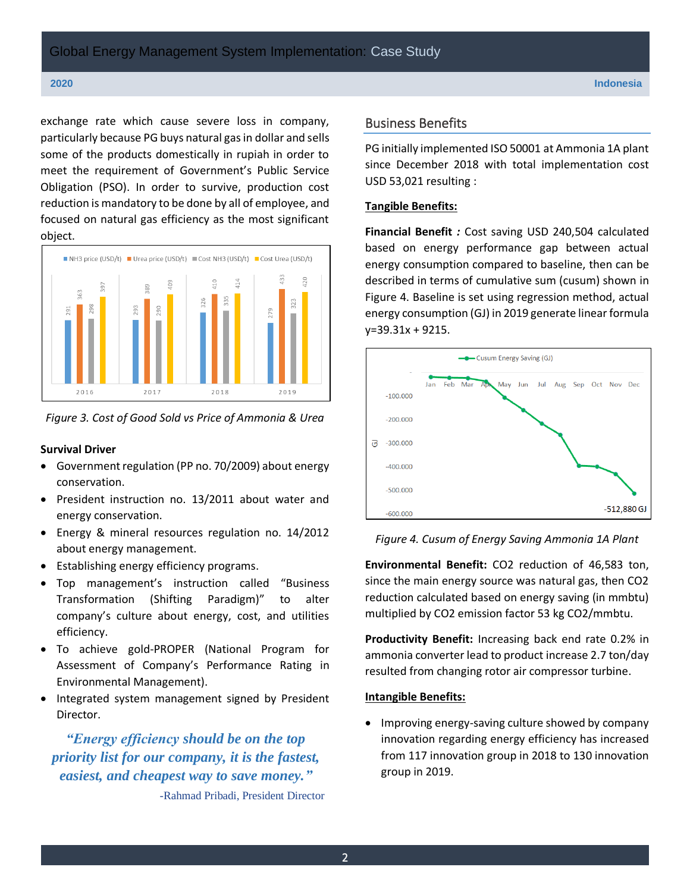exchange rate which cause severe loss in company, particularly because PG buys natural gas in dollar and sells some of the products domestically in rupiah in order to meet the requirement of Government's Public Service Obligation (PSO). In order to survive, production cost reduction is mandatory to be done by all of employee, and focused on natural gas efficiency as the most significant object.



*Figure 3. Cost of Good Sold vs Price of Ammonia & Urea*

#### **Survival Driver**

- Government regulation (PP no. 70/2009) about energy conservation.
- President instruction no. 13/2011 about water and energy conservation.
- Energy & mineral resources regulation no. 14/2012 about energy management.
- Establishing energy efficiency programs.
- Top management's instruction called "Business Transformation (Shifting Paradigm)" to alter company's culture about energy, cost, and utilities efficiency.
- To achieve gold-PROPER (National Program for Assessment of Company's Performance Rating in Environmental Management).
- Integrated system management signed by President Director.

## *"Energy efficiency should be on the top priority list for our company, it is the fastest, easiest, and cheapest way to save money."*

-Rahmad Pribadi, President Director

#### Business Benefits

PG initially implemented ISO 50001 at Ammonia 1A plant since December 2018 with total implementation cost USD 53,021 resulting :

#### **Tangible Benefits:**

**Financial Benefit** *:* Cost saving USD 240,504 calculated based on energy performance gap between actual energy consumption compared to baseline, then can be described in terms of cumulative sum (cusum) shown in Figure 4. Baseline is set using regression method, actual energy consumption (GJ) in 2019 generate linear formula y=39.31x + 9215.



#### *Figure 4. Cusum of Energy Saving Ammonia 1A Plant*

**Environmental Benefit:** CO2 reduction of 46,583 ton, since the main energy source was natural gas, then CO2 reduction calculated based on energy saving (in mmbtu) multiplied by CO2 emission factor 53 kg CO2/mmbtu.

**Productivity Benefit:** Increasing back end rate 0.2% in ammonia converter lead to product increase 2.7 ton/day resulted from changing rotor air compressor turbine.

#### **Intangible Benefits:**

• Improving energy-saving culture showed by company innovation regarding energy efficiency has increased from 117 innovation group in 2018 to 130 innovation group in 2019.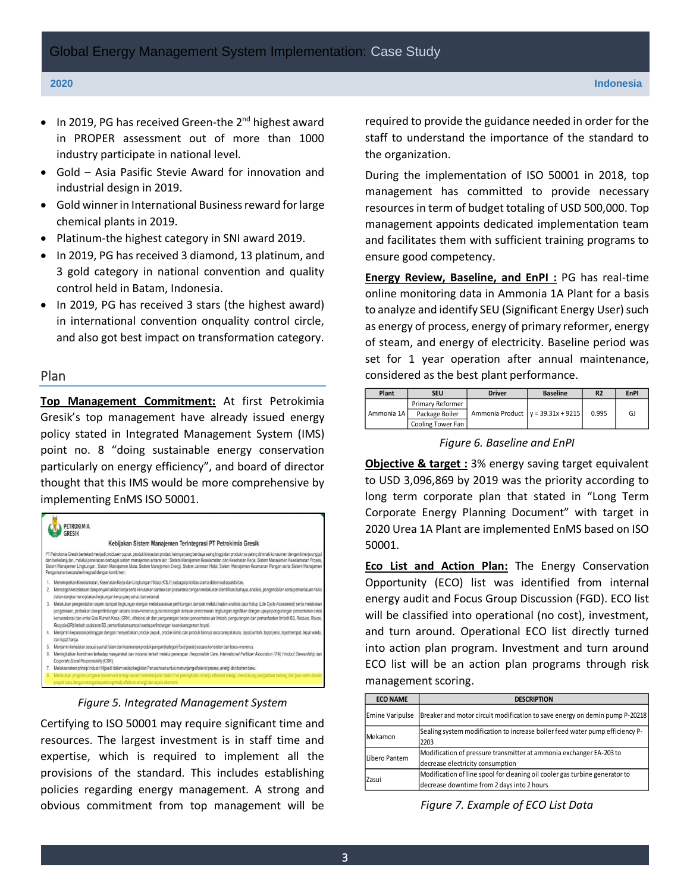- In 2019, PG has received Green-the 2<sup>nd</sup> highest award in PROPER assessment out of more than 1000 industry participate in national level.
- Gold Asia Pasific Stevie Award for innovation and industrial design in 2019.
- Gold winner in International Business reward for large chemical plants in 2019.
- Platinum-the highest category in SNI award 2019.
- In 2019, PG has received 3 diamond, 13 platinum, and 3 gold category in national convention and quality control held in Batam, Indonesia.
- In 2019, PG has received 3 stars (the highest award) in international convention onquality control circle, and also got best impact on transformation category.

#### Plan

**Top Management Commitment:** At first Petrokimia Gresik's top management have already issued energy policy stated in Integrated Management System (IMS) point no. 8 "doing sustainable energy conservation particularly on energy efficiency", and board of director thought that this IMS would be more comprehensive by implementing EnMS ISO 50001.



*Figure 5. Integrated Management System*

Certifying to ISO 50001 may require significant time and resources. The largest investment is in staff time and expertise, which is required to implement all the provisions of the standard. This includes establishing policies regarding energy management. A strong and obvious commitment from top management will be required to provide the guidance needed in order for the staff to understand the importance of the standard to the organization.

During the implementation of ISO 50001 in 2018, top management has committed to provide necessary resources in term of budget totaling of USD 500,000. Top management appoints dedicated implementation team and facilitates them with sufficient training programs to ensure good competency.

**Energy Review, Baseline, and EnPI :** PG has real-time online monitoring data in Ammonia 1A Plant for a basis to analyze and identify SEU (Significant Energy User) such as energy of process, energy of primary reformer, energy of steam, and energy of electricity. Baseline period was set for 1 year operation after annual maintenance, considered as the best plant performance.

| Plant      | SEU                     | <b>Driver</b>                       | <b>Baseline</b> | <b>R2</b> | <b>EnPI</b> |
|------------|-------------------------|-------------------------------------|-----------------|-----------|-------------|
| Ammonia 1A | <b>Primary Reformer</b> |                                     |                 | 0.995     | GJ          |
|            | Package Boiler          | Ammonia Product $y = 39.31x + 9215$ |                 |           |             |
|            | Cooling Tower Fan       |                                     |                 |           |             |

*Figure 6. Baseline and EnPI*

**Objective & target :** 3% energy saving target equivalent to USD 3,096,869 by 2019 was the priority according to long term corporate plan that stated in "Long Term Corporate Energy Planning Document" with target in 2020 Urea 1A Plant are implemented EnMS based on ISO 50001.

**Eco List and Action Plan:** The Energy Conservation Opportunity (ECO) list was identified from internal energy audit and Focus Group Discussion (FGD). ECO list will be classified into operational (no cost), investment, and turn around. Operational ECO list directly turned into action plan program. Investment and turn around ECO list will be an action plan programs through risk management scoring.

| <b>ECO NAME</b>  | <b>DESCRIPTION</b>                                                                                                        |  |  |  |  |
|------------------|---------------------------------------------------------------------------------------------------------------------------|--|--|--|--|
| Ernine Varipulse | Breaker and motor circuit modification to save energy on demin pump P-20218                                               |  |  |  |  |
| Mekamon          | Sealing system modification to increase boiler feed water pump efficiency P-<br>2203                                      |  |  |  |  |
| Libero Pantem    | Modification of pressure transmitter at ammonia exchanger EA-203 to<br>decrease electricity consumption                   |  |  |  |  |
| Zasui            | Modification of line spool for cleaning oil cooler gas turbine generator to<br>decrease downtime from 2 days into 2 hours |  |  |  |  |

*Figure 7. Example of ECO List Data*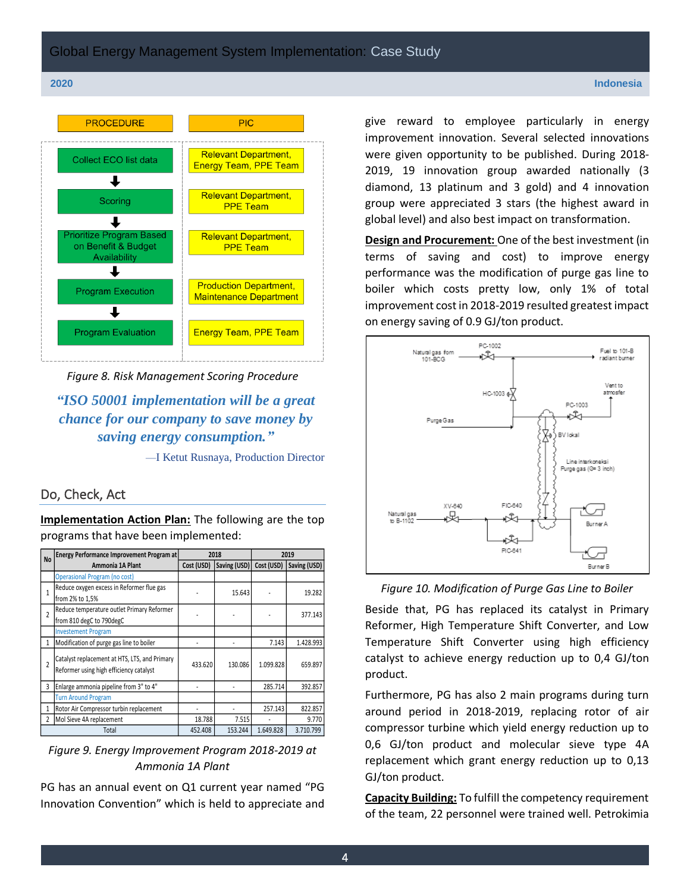

*Figure 8. Risk Management Scoring Procedure*

*"ISO 50001 implementation will be a great chance for our company to save money by saving energy consumption."*

—I Ketut Rusnaya, Production Director

#### Do, Check, Act

**Implementation Action Plan:** The following are the top programs that have been implemented:

| <b>No</b>      | <b>Energy Performance Improvement Program at</b>                                         | 2018       |              | 2019       |              |
|----------------|------------------------------------------------------------------------------------------|------------|--------------|------------|--------------|
|                | Ammonia 1A Plant                                                                         | Cost (USD) | Saving (USD) | Cost (USD) | Saving (USD) |
|                | <b>Operasional Program (no cost)</b>                                                     |            |              |            |              |
| 1              | Reduce oxygen excess in Reformer flue gas<br>from 2% to 1,5%                             |            | 15.643       |            | 19.282       |
| $\overline{2}$ | Reduce temperature outlet Primary Reformer<br>from 810 degC to 790degC                   |            |              |            | 377.143      |
|                | <b>Investement Program</b>                                                               |            |              |            |              |
| 1              | Modification of purge gas line to boiler                                                 |            |              | 7.143      | 1.428.993    |
| $\mathfrak z$  | Catalyst replacement at HTS, LTS, and Primary<br>Reformer using high efficiency catalyst | 433.620    | 130.086      | 1.099.828  | 659.897      |
| 3              | Enlarge ammonia pipeline from 3" to 4"                                                   |            |              | 285.714    | 392.857      |
|                | <b>Turn Around Program</b>                                                               |            |              |            |              |
| 1              | Rotor Air Compressor turbin replacement                                                  |            |              | 257.143    | 822.857      |
| $\overline{2}$ | Mol Sieve 4A replacement                                                                 | 18.788     | 7.515        |            | 9.770        |
|                | Total                                                                                    | 452.408    | 153.244      | 1.649.828  | 3.710.799    |

### *Figure 9. Energy Improvement Program 2018-2019 at Ammonia 1A Plant*

PG has an annual event on Q1 current year named "PG Innovation Convention" which is held to appreciate and

give reward to employee particularly in energy improvement innovation. Several selected innovations were given opportunity to be published. During 2018- 2019, 19 innovation group awarded nationally (3 diamond, 13 platinum and 3 gold) and 4 innovation group were appreciated 3 stars (the highest award in global level) and also best impact on transformation.

**Design and Procurement:** One of the best investment (in terms of saving and cost) to improve energy performance was the modification of purge gas line to boiler which costs pretty low, only 1% of total improvement cost in 2018-2019 resulted greatest impact on energy saving of 0.9 GJ/ton product.



*Figure 10. Modification of Purge Gas Line to Boiler*

Beside that, PG has replaced its catalyst in Primary Reformer, High Temperature Shift Converter, and Low Temperature Shift Converter using high efficiency catalyst to achieve energy reduction up to 0,4 GJ/ton product.

Furthermore, PG has also 2 main programs during turn around period in 2018-2019, replacing rotor of air compressor turbine which yield energy reduction up to 0,6 GJ/ton product and molecular sieve type 4A replacement which grant energy reduction up to 0,13 GJ/ton product. Cost (USD) **Saving (USD) Saving (USD)**<br>
19.282<br>
19.282<br>
19.282<br>
19.282<br>
19.282<br>
19.282<br>
19.282<br>
19.282<br>
19.282<br>
19.282<br>
19.282<br>
19.282<br>
19.282<br>
19.282<br>
19.282<br>
19.282<br>
19.282<br>
19.282<br>
19.282<br>
19.282<br>
19.282<br>
19.282<br>
19.2

**Capacity Building:** To fulfill the competency requirement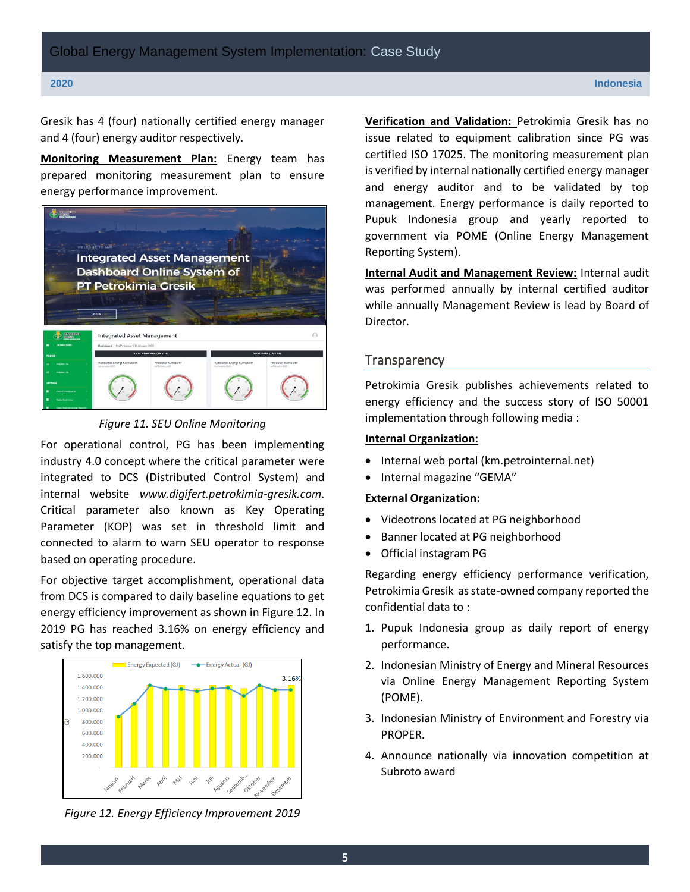Gresik has 4 (four) nationally certified energy manager and 4 (four) energy auditor respectively.

**Monitoring Measurement Plan:** Energy team has prepared monitoring measurement plan to ensure energy performance improvement.



*Figure 11. SEU Online Monitoring*

For operational control, PG has been implementing industry 4.0 concept where the critical parameter were integrated to DCS (Distributed Control System) and internal website *www.digifert.petrokimia-gresik.com*. Critical parameter also known as Key Operating Parameter (KOP) was set in threshold limit and connected to alarm to warn SEU operator to response based on operating procedure.

For objective target accomplishment, operational data from DCS is compared to daily baseline equations to get energy efficiency improvement as shown in Figure 12. In 2019 PG has reached 3.16% on energy efficiency and satisfy the top management.



*Figure 12. Energy Efficiency Improvement 2019*

**Verification and Validation:** Petrokimia Gresik has no issue related to equipment calibration since PG was certified ISO 17025. The monitoring measurement plan is verified by internal nationally certified energy manager and energy auditor and to be validated by top management. Energy performance is daily reported to Pupuk Indonesia group and yearly reported to government via POME (Online Energy Management Reporting System).

**Internal Audit and Management Review:** Internal audit was performed annually by internal certified auditor while annually Management Review is lead by Board of Director.

#### **Transparency**

Petrokimia Gresik publishes achievements related to energy efficiency and the success story of ISO 50001 implementation through following media :

### **Internal Organization:**

- Internal web portal (km.petrointernal.net)
- Internal magazine "GEMA"

#### **External Organization:**

- Videotrons located at PG neighborhood
- Banner located at PG neighborhood
- Official instagram PG

Regarding energy efficiency performance verification, Petrokimia Gresik as state-owned company reported the confidential data to :

- 1. Pupuk Indonesia group as daily report of energy performance.
- 2. Indonesian Ministry of Energy and Mineral Resources via Online Energy Management Reporting System (POME).
- 3. Indonesian Ministry of Environment and Forestry via PROPER.
- 4. Announce nationally via innovation competition at Subroto award